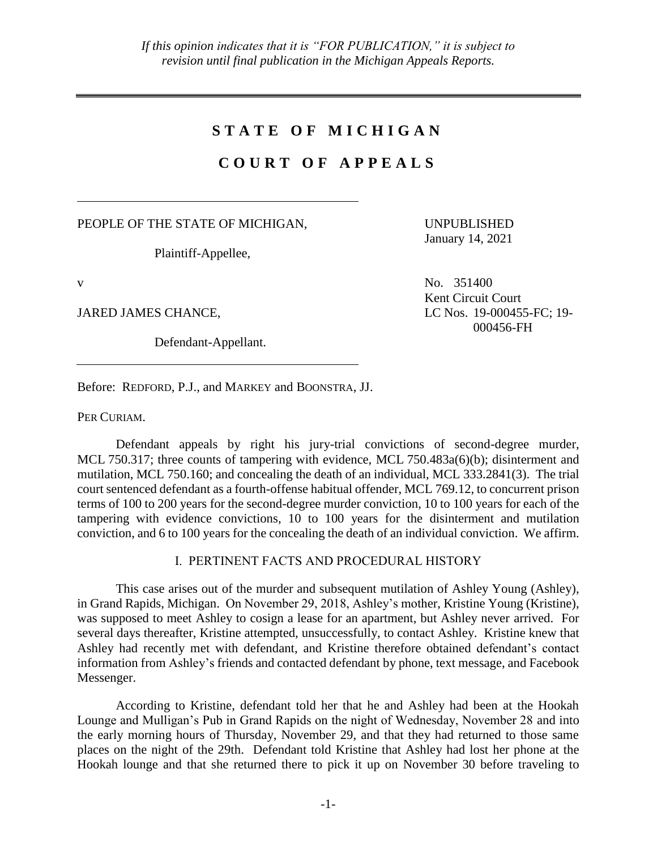# **S T A T E O F M I C H I G A N**

# **C O U R T O F A P P E A L S**

PEOPLE OF THE STATE OF MICHIGAN,

Plaintiff-Appellee,

Defendant-Appellant.

UNPUBLISHED January 14, 2021

 $V$  No. 351400 Kent Circuit Court JARED JAMES CHANCE, LC Nos. 19-000455-FC; 19-000456-FH

Before: REDFORD, P.J., and MARKEY and BOONSTRA, JJ.

PER CURIAM.

Defendant appeals by right his jury-trial convictions of second-degree murder, MCL 750.317; three counts of tampering with evidence, MCL 750.483a(6)(b); disinterment and mutilation, MCL 750.160; and concealing the death of an individual, MCL 333.2841(3). The trial court sentenced defendant as a fourth-offense habitual offender, MCL 769.12, to concurrent prison terms of 100 to 200 years for the second-degree murder conviction, 10 to 100 years for each of the tampering with evidence convictions, 10 to 100 years for the disinterment and mutilation conviction, and 6 to 100 years for the concealing the death of an individual conviction. We affirm.

## I. PERTINENT FACTS AND PROCEDURAL HISTORY

This case arises out of the murder and subsequent mutilation of Ashley Young (Ashley), in Grand Rapids, Michigan. On November 29, 2018, Ashley's mother, Kristine Young (Kristine), was supposed to meet Ashley to cosign a lease for an apartment, but Ashley never arrived. For several days thereafter, Kristine attempted, unsuccessfully, to contact Ashley. Kristine knew that Ashley had recently met with defendant, and Kristine therefore obtained defendant's contact information from Ashley's friends and contacted defendant by phone, text message, and Facebook Messenger.

According to Kristine, defendant told her that he and Ashley had been at the Hookah Lounge and Mulligan's Pub in Grand Rapids on the night of Wednesday, November 28 and into the early morning hours of Thursday, November 29, and that they had returned to those same places on the night of the 29th. Defendant told Kristine that Ashley had lost her phone at the Hookah lounge and that she returned there to pick it up on November 30 before traveling to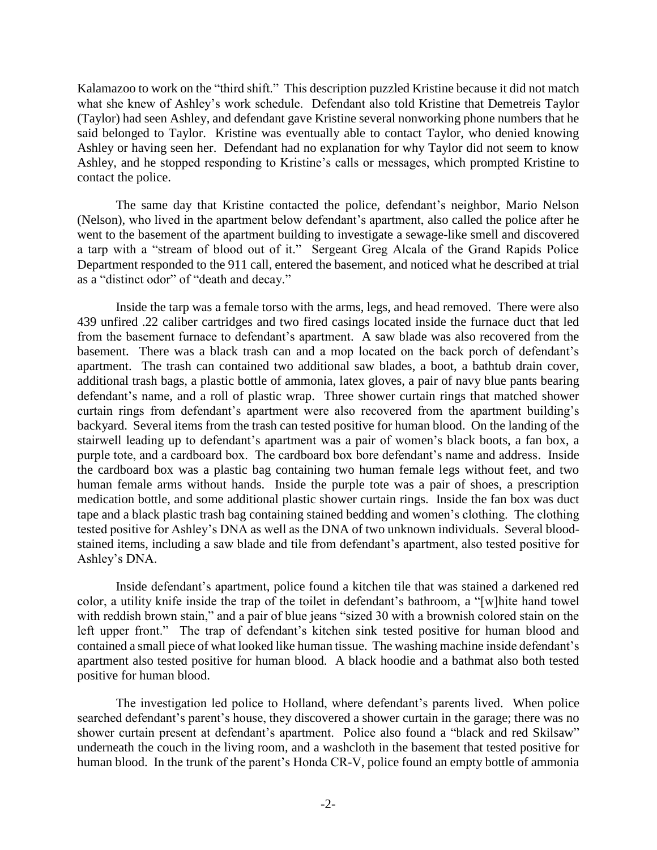Kalamazoo to work on the "third shift." This description puzzled Kristine because it did not match what she knew of Ashley's work schedule. Defendant also told Kristine that Demetreis Taylor (Taylor) had seen Ashley, and defendant gave Kristine several nonworking phone numbers that he said belonged to Taylor. Kristine was eventually able to contact Taylor, who denied knowing Ashley or having seen her. Defendant had no explanation for why Taylor did not seem to know Ashley, and he stopped responding to Kristine's calls or messages, which prompted Kristine to contact the police.

The same day that Kristine contacted the police, defendant's neighbor, Mario Nelson (Nelson), who lived in the apartment below defendant's apartment, also called the police after he went to the basement of the apartment building to investigate a sewage-like smell and discovered a tarp with a "stream of blood out of it." Sergeant Greg Alcala of the Grand Rapids Police Department responded to the 911 call, entered the basement, and noticed what he described at trial as a "distinct odor" of "death and decay."

Inside the tarp was a female torso with the arms, legs, and head removed. There were also 439 unfired .22 caliber cartridges and two fired casings located inside the furnace duct that led from the basement furnace to defendant's apartment. A saw blade was also recovered from the basement. There was a black trash can and a mop located on the back porch of defendant's apartment. The trash can contained two additional saw blades, a boot, a bathtub drain cover, additional trash bags, a plastic bottle of ammonia, latex gloves, a pair of navy blue pants bearing defendant's name, and a roll of plastic wrap. Three shower curtain rings that matched shower curtain rings from defendant's apartment were also recovered from the apartment building's backyard. Several items from the trash can tested positive for human blood. On the landing of the stairwell leading up to defendant's apartment was a pair of women's black boots, a fan box, a purple tote, and a cardboard box. The cardboard box bore defendant's name and address. Inside the cardboard box was a plastic bag containing two human female legs without feet, and two human female arms without hands. Inside the purple tote was a pair of shoes, a prescription medication bottle, and some additional plastic shower curtain rings. Inside the fan box was duct tape and a black plastic trash bag containing stained bedding and women's clothing. The clothing tested positive for Ashley's DNA as well as the DNA of two unknown individuals. Several bloodstained items, including a saw blade and tile from defendant's apartment, also tested positive for Ashley's DNA.

Inside defendant's apartment, police found a kitchen tile that was stained a darkened red color, a utility knife inside the trap of the toilet in defendant's bathroom, a "[w]hite hand towel with reddish brown stain," and a pair of blue jeans "sized 30 with a brownish colored stain on the left upper front." The trap of defendant's kitchen sink tested positive for human blood and contained a small piece of what looked like human tissue. The washing machine inside defendant's apartment also tested positive for human blood. A black hoodie and a bathmat also both tested positive for human blood.

The investigation led police to Holland, where defendant's parents lived. When police searched defendant's parent's house, they discovered a shower curtain in the garage; there was no shower curtain present at defendant's apartment. Police also found a "black and red Skilsaw" underneath the couch in the living room, and a washcloth in the basement that tested positive for human blood. In the trunk of the parent's Honda CR-V, police found an empty bottle of ammonia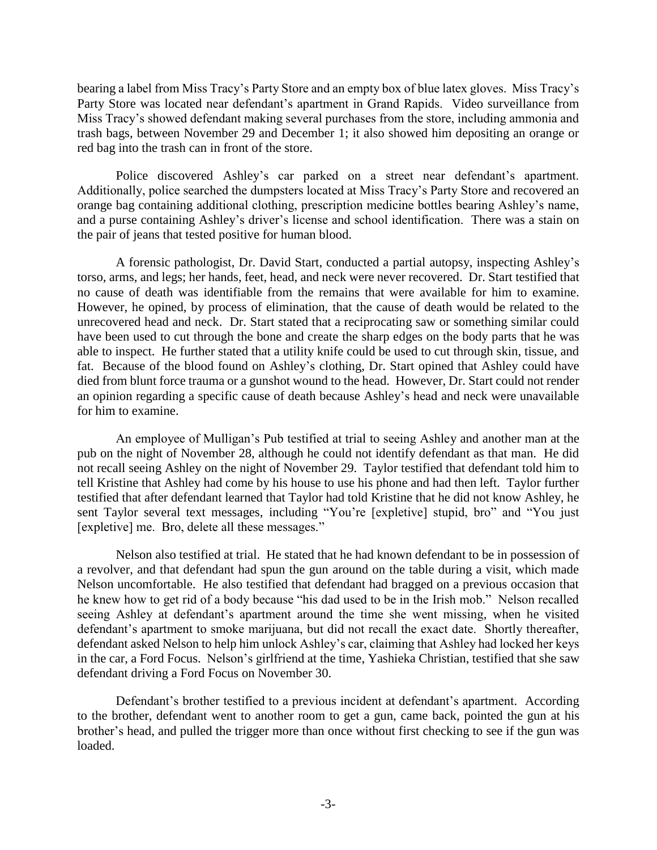bearing a label from Miss Tracy's Party Store and an empty box of blue latex gloves. Miss Tracy's Party Store was located near defendant's apartment in Grand Rapids. Video surveillance from Miss Tracy's showed defendant making several purchases from the store, including ammonia and trash bags, between November 29 and December 1; it also showed him depositing an orange or red bag into the trash can in front of the store.

Police discovered Ashley's car parked on a street near defendant's apartment. Additionally, police searched the dumpsters located at Miss Tracy's Party Store and recovered an orange bag containing additional clothing, prescription medicine bottles bearing Ashley's name, and a purse containing Ashley's driver's license and school identification. There was a stain on the pair of jeans that tested positive for human blood.

A forensic pathologist, Dr. David Start, conducted a partial autopsy, inspecting Ashley's torso, arms, and legs; her hands, feet, head, and neck were never recovered. Dr. Start testified that no cause of death was identifiable from the remains that were available for him to examine. However, he opined, by process of elimination, that the cause of death would be related to the unrecovered head and neck. Dr. Start stated that a reciprocating saw or something similar could have been used to cut through the bone and create the sharp edges on the body parts that he was able to inspect. He further stated that a utility knife could be used to cut through skin, tissue, and fat. Because of the blood found on Ashley's clothing, Dr. Start opined that Ashley could have died from blunt force trauma or a gunshot wound to the head. However, Dr. Start could not render an opinion regarding a specific cause of death because Ashley's head and neck were unavailable for him to examine.

An employee of Mulligan's Pub testified at trial to seeing Ashley and another man at the pub on the night of November 28, although he could not identify defendant as that man. He did not recall seeing Ashley on the night of November 29. Taylor testified that defendant told him to tell Kristine that Ashley had come by his house to use his phone and had then left. Taylor further testified that after defendant learned that Taylor had told Kristine that he did not know Ashley, he sent Taylor several text messages, including "You're [expletive] stupid, bro" and "You just [expletive] me. Bro, delete all these messages."

Nelson also testified at trial. He stated that he had known defendant to be in possession of a revolver, and that defendant had spun the gun around on the table during a visit, which made Nelson uncomfortable. He also testified that defendant had bragged on a previous occasion that he knew how to get rid of a body because "his dad used to be in the Irish mob." Nelson recalled seeing Ashley at defendant's apartment around the time she went missing, when he visited defendant's apartment to smoke marijuana, but did not recall the exact date. Shortly thereafter, defendant asked Nelson to help him unlock Ashley's car, claiming that Ashley had locked her keys in the car, a Ford Focus. Nelson's girlfriend at the time, Yashieka Christian, testified that she saw defendant driving a Ford Focus on November 30.

Defendant's brother testified to a previous incident at defendant's apartment. According to the brother, defendant went to another room to get a gun, came back, pointed the gun at his brother's head, and pulled the trigger more than once without first checking to see if the gun was loaded.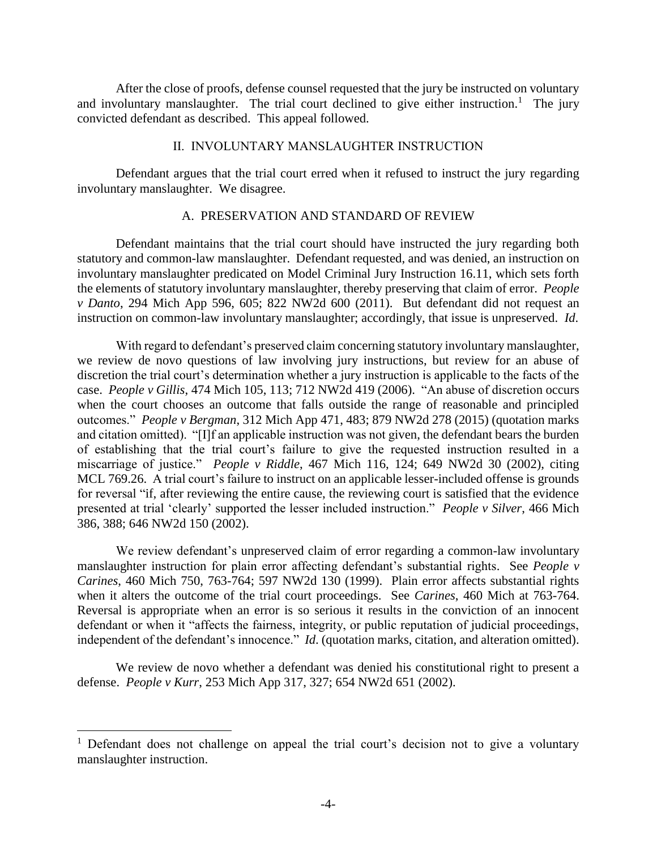After the close of proofs, defense counsel requested that the jury be instructed on voluntary and involuntary manslaughter. The trial court declined to give either instruction.<sup>1</sup> The jury convicted defendant as described. This appeal followed.

### II. INVOLUNTARY MANSLAUGHTER INSTRUCTION

Defendant argues that the trial court erred when it refused to instruct the jury regarding involuntary manslaughter. We disagree.

## A. PRESERVATION AND STANDARD OF REVIEW

Defendant maintains that the trial court should have instructed the jury regarding both statutory and common-law manslaughter. Defendant requested, and was denied, an instruction on involuntary manslaughter predicated on Model Criminal Jury Instruction 16.11, which sets forth the elements of statutory involuntary manslaughter, thereby preserving that claim of error. *People v Danto*, 294 Mich App 596, 605; 822 NW2d 600 (2011). But defendant did not request an instruction on common-law involuntary manslaughter; accordingly, that issue is unpreserved. *Id*.

With regard to defendant's preserved claim concerning statutory involuntary manslaughter, we review de novo questions of law involving jury instructions, but review for an abuse of discretion the trial court's determination whether a jury instruction is applicable to the facts of the case. *People v Gillis*, 474 Mich 105, 113; 712 NW2d 419 (2006). "An abuse of discretion occurs when the court chooses an outcome that falls outside the range of reasonable and principled outcomes." *People v Bergman*, 312 Mich App 471, 483; 879 NW2d 278 (2015) (quotation marks and citation omitted). "[I]f an applicable instruction was not given, the defendant bears the burden of establishing that the trial court's failure to give the requested instruction resulted in a miscarriage of justice." *People v Riddle*, 467 Mich 116, 124; 649 NW2d 30 (2002), citing MCL 769.26. A trial court's failure to instruct on an applicable lesser-included offense is grounds for reversal "if, after reviewing the entire cause, the reviewing court is satisfied that the evidence presented at trial 'clearly' supported the lesser included instruction." *People v Silver*, 466 Mich 386, 388; 646 NW2d 150 (2002).

We review defendant's unpreserved claim of error regarding a common-law involuntary manslaughter instruction for plain error affecting defendant's substantial rights. See *People v Carines*, 460 Mich 750, 763-764; 597 NW2d 130 (1999). Plain error affects substantial rights when it alters the outcome of the trial court proceedings. See *Carines*, 460 Mich at 763-764. Reversal is appropriate when an error is so serious it results in the conviction of an innocent defendant or when it "affects the fairness, integrity, or public reputation of judicial proceedings, independent of the defendant's innocence." *Id*. (quotation marks, citation, and alteration omitted).

We review de novo whether a defendant was denied his constitutional right to present a defense. *People v Kurr*, 253 Mich App 317, 327; 654 NW2d 651 (2002).

 $\overline{a}$ 

<sup>&</sup>lt;sup>1</sup> Defendant does not challenge on appeal the trial court's decision not to give a voluntary manslaughter instruction.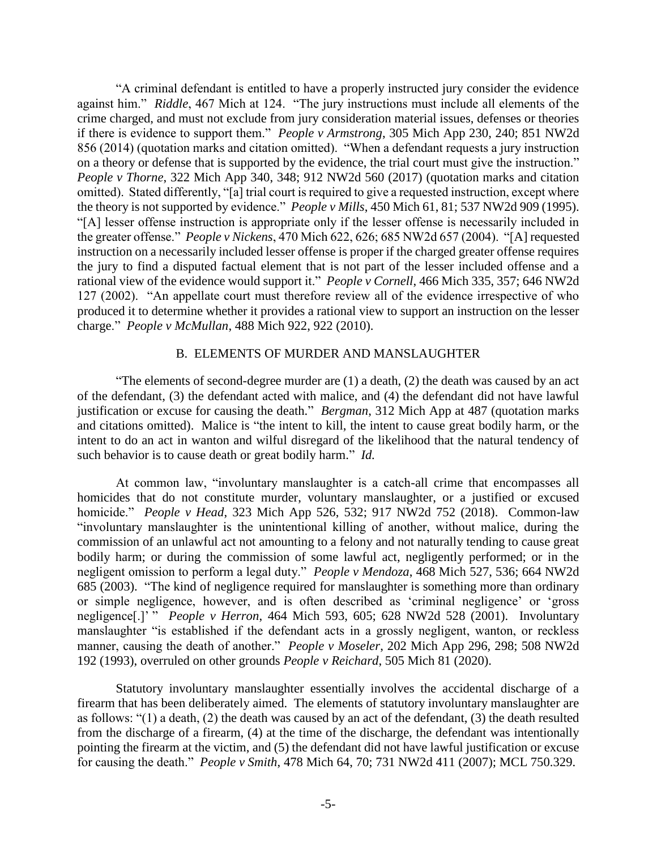"A criminal defendant is entitled to have a properly instructed jury consider the evidence against him." *Riddle*, 467 Mich at 124. "The jury instructions must include all elements of the crime charged, and must not exclude from jury consideration material issues, defenses or theories if there is evidence to support them." *People v Armstrong*, 305 Mich App 230, 240; 851 NW2d 856 (2014) (quotation marks and citation omitted). "When a defendant requests a jury instruction on a theory or defense that is supported by the evidence, the trial court must give the instruction." *People v Thorne*, 322 Mich App 340, 348; 912 NW2d 560 (2017) (quotation marks and citation omitted). Stated differently, "[a] trial court is required to give a requested instruction, except where the theory is not supported by evidence." *People v Mills*, 450 Mich 61, 81; 537 NW2d 909 (1995). "[A] lesser offense instruction is appropriate only if the lesser offense is necessarily included in the greater offense." *People v Nickens*, 470 Mich 622, 626; 685 NW2d 657 (2004). "[A] requested instruction on a necessarily included lesser offense is proper if the charged greater offense requires the jury to find a disputed factual element that is not part of the lesser included offense and a rational view of the evidence would support it." *People v Cornell*, 466 Mich 335, 357; 646 NW2d 127 (2002). "An appellate court must therefore review all of the evidence irrespective of who produced it to determine whether it provides a rational view to support an instruction on the lesser charge." *People v McMullan*, 488 Mich 922, 922 (2010).

### B. ELEMENTS OF MURDER AND MANSLAUGHTER

"The elements of second-degree murder are  $(1)$  a death,  $(2)$  the death was caused by an act of the defendant, (3) the defendant acted with malice, and (4) the defendant did not have lawful justification or excuse for causing the death." *Bergman*, 312 Mich App at 487 (quotation marks and citations omitted). Malice is "the intent to kill, the intent to cause great bodily harm, or the intent to do an act in wanton and wilful disregard of the likelihood that the natural tendency of such behavior is to cause death or great bodily harm." *Id.*

At common law, "involuntary manslaughter is a catch-all crime that encompasses all homicides that do not constitute murder, voluntary manslaughter, or a justified or excused homicide." *People v Head*, 323 Mich App 526, 532; 917 NW2d 752 (2018). Common-law "involuntary manslaughter is the unintentional killing of another, without malice, during the commission of an unlawful act not amounting to a felony and not naturally tending to cause great bodily harm; or during the commission of some lawful act, negligently performed; or in the negligent omission to perform a legal duty." *People v Mendoza*, 468 Mich 527, 536; 664 NW2d 685 (2003). "The kind of negligence required for manslaughter is something more than ordinary or simple negligence, however, and is often described as 'criminal negligence' or 'gross negligence[.]' " *People v Herron*, 464 Mich 593, 605; 628 NW2d 528 (2001). Involuntary manslaughter "is established if the defendant acts in a grossly negligent, wanton, or reckless manner, causing the death of another." *People v Moseler*, 202 Mich App 296, 298; 508 NW2d 192 (1993), overruled on other grounds *People v Reichard*, 505 Mich 81 (2020).

Statutory involuntary manslaughter essentially involves the accidental discharge of a firearm that has been deliberately aimed. The elements of statutory involuntary manslaughter are as follows: "(1) a death, (2) the death was caused by an act of the defendant, (3) the death resulted from the discharge of a firearm, (4) at the time of the discharge, the defendant was intentionally pointing the firearm at the victim, and (5) the defendant did not have lawful justification or excuse for causing the death." *People v Smith*, 478 Mich 64, 70; 731 NW2d 411 (2007); MCL 750.329.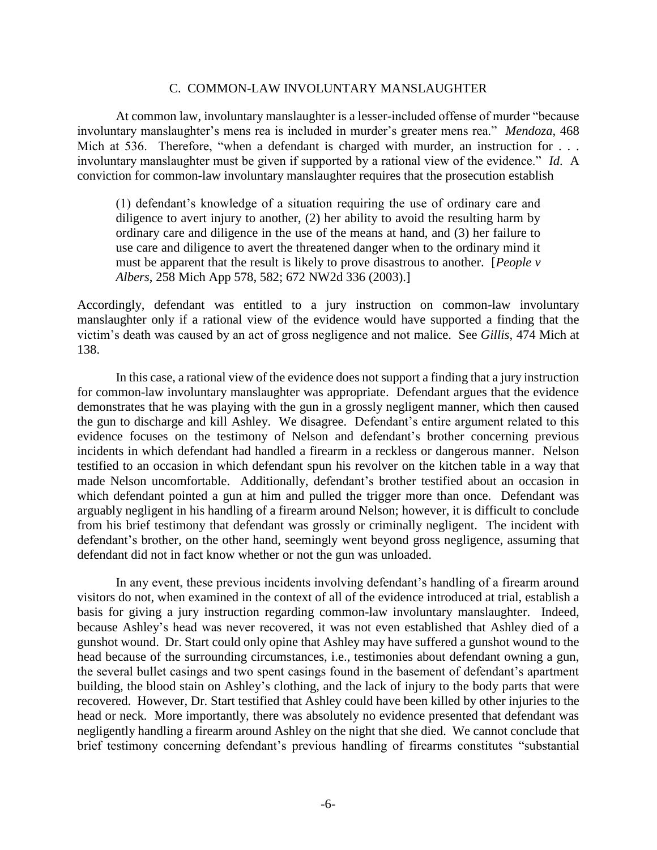#### C. COMMON-LAW INVOLUNTARY MANSLAUGHTER

At common law, involuntary manslaughter is a lesser-included offense of murder "because involuntary manslaughter's mens rea is included in murder's greater mens rea." *Mendoza*, 468 Mich at 536. Therefore, "when a defendant is charged with murder, an instruction for ... involuntary manslaughter must be given if supported by a rational view of the evidence." *Id*. A conviction for common-law involuntary manslaughter requires that the prosecution establish

(1) defendant's knowledge of a situation requiring the use of ordinary care and diligence to avert injury to another, (2) her ability to avoid the resulting harm by ordinary care and diligence in the use of the means at hand, and (3) her failure to use care and diligence to avert the threatened danger when to the ordinary mind it must be apparent that the result is likely to prove disastrous to another. [*People v Albers*, 258 Mich App 578, 582; 672 NW2d 336 (2003).]

Accordingly, defendant was entitled to a jury instruction on common-law involuntary manslaughter only if a rational view of the evidence would have supported a finding that the victim's death was caused by an act of gross negligence and not malice. See *Gillis*, 474 Mich at 138.

In this case, a rational view of the evidence does not support a finding that a jury instruction for common-law involuntary manslaughter was appropriate. Defendant argues that the evidence demonstrates that he was playing with the gun in a grossly negligent manner, which then caused the gun to discharge and kill Ashley. We disagree. Defendant's entire argument related to this evidence focuses on the testimony of Nelson and defendant's brother concerning previous incidents in which defendant had handled a firearm in a reckless or dangerous manner. Nelson testified to an occasion in which defendant spun his revolver on the kitchen table in a way that made Nelson uncomfortable. Additionally, defendant's brother testified about an occasion in which defendant pointed a gun at him and pulled the trigger more than once. Defendant was arguably negligent in his handling of a firearm around Nelson; however, it is difficult to conclude from his brief testimony that defendant was grossly or criminally negligent. The incident with defendant's brother, on the other hand, seemingly went beyond gross negligence, assuming that defendant did not in fact know whether or not the gun was unloaded.

In any event, these previous incidents involving defendant's handling of a firearm around visitors do not, when examined in the context of all of the evidence introduced at trial, establish a basis for giving a jury instruction regarding common-law involuntary manslaughter. Indeed, because Ashley's head was never recovered, it was not even established that Ashley died of a gunshot wound. Dr. Start could only opine that Ashley may have suffered a gunshot wound to the head because of the surrounding circumstances, i.e., testimonies about defendant owning a gun, the several bullet casings and two spent casings found in the basement of defendant's apartment building, the blood stain on Ashley's clothing, and the lack of injury to the body parts that were recovered. However, Dr. Start testified that Ashley could have been killed by other injuries to the head or neck. More importantly, there was absolutely no evidence presented that defendant was negligently handling a firearm around Ashley on the night that she died. We cannot conclude that brief testimony concerning defendant's previous handling of firearms constitutes "substantial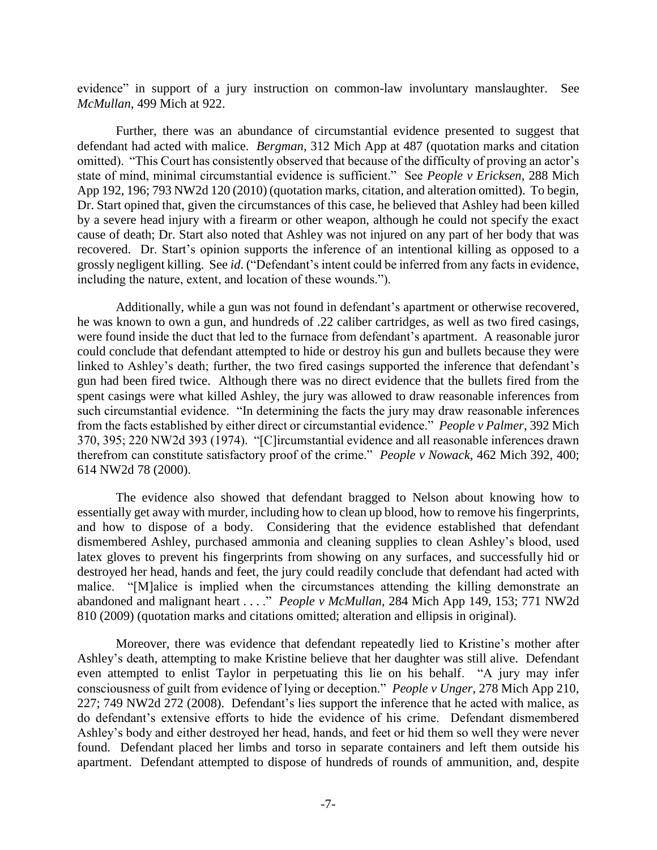evidence" in support of a jury instruction on common-law involuntary manslaughter. See *McMullan*, 499 Mich at 922.

Further, there was an abundance of circumstantial evidence presented to suggest that defendant had acted with malice. *Bergman*, 312 Mich App at 487 (quotation marks and citation omitted). "This Court has consistently observed that because of the difficulty of proving an actor's state of mind, minimal circumstantial evidence is sufficient." See *People v Ericksen*, 288 Mich App 192, 196; 793 NW2d 120 (2010) (quotation marks, citation, and alteration omitted). To begin, Dr. Start opined that, given the circumstances of this case, he believed that Ashley had been killed by a severe head injury with a firearm or other weapon, although he could not specify the exact cause of death; Dr. Start also noted that Ashley was not injured on any part of her body that was recovered. Dr. Start's opinion supports the inference of an intentional killing as opposed to a grossly negligent killing. See *id*. ("Defendant's intent could be inferred from any facts in evidence, including the nature, extent, and location of these wounds.").

Additionally, while a gun was not found in defendant's apartment or otherwise recovered, he was known to own a gun, and hundreds of .22 caliber cartridges, as well as two fired casings, were found inside the duct that led to the furnace from defendant's apartment. A reasonable juror could conclude that defendant attempted to hide or destroy his gun and bullets because they were linked to Ashley's death; further, the two fired casings supported the inference that defendant's gun had been fired twice. Although there was no direct evidence that the bullets fired from the spent casings were what killed Ashley, the jury was allowed to draw reasonable inferences from such circumstantial evidence. "In determining the facts the jury may draw reasonable inferences from the facts established by either direct or circumstantial evidence." *People v Palmer*, 392 Mich 370, 395; 220 NW2d 393 (1974). "[C]ircumstantial evidence and all reasonable inferences drawn therefrom can constitute satisfactory proof of the crime." *People v Nowack*, 462 Mich 392, 400; 614 NW2d 78 (2000).

The evidence also showed that defendant bragged to Nelson about knowing how to essentially get away with murder, including how to clean up blood, how to remove his fingerprints, and how to dispose of a body. Considering that the evidence established that defendant dismembered Ashley, purchased ammonia and cleaning supplies to clean Ashley's blood, used latex gloves to prevent his fingerprints from showing on any surfaces, and successfully hid or destroyed her head, hands and feet, the jury could readily conclude that defendant had acted with malice. "[M]alice is implied when the circumstances attending the killing demonstrate an abandoned and malignant heart . . . ." *People v McMullan*, 284 Mich App 149, 153; 771 NW2d 810 (2009) (quotation marks and citations omitted; alteration and ellipsis in original).

Moreover, there was evidence that defendant repeatedly lied to Kristine's mother after Ashley's death, attempting to make Kristine believe that her daughter was still alive. Defendant even attempted to enlist Taylor in perpetuating this lie on his behalf. "A jury may infer consciousness of guilt from evidence of lying or deception." *People v Unger*, 278 Mich App 210, 227; 749 NW2d 272 (2008). Defendant's lies support the inference that he acted with malice, as do defendant's extensive efforts to hide the evidence of his crime. Defendant dismembered Ashley's body and either destroyed her head, hands, and feet or hid them so well they were never found. Defendant placed her limbs and torso in separate containers and left them outside his apartment. Defendant attempted to dispose of hundreds of rounds of ammunition, and, despite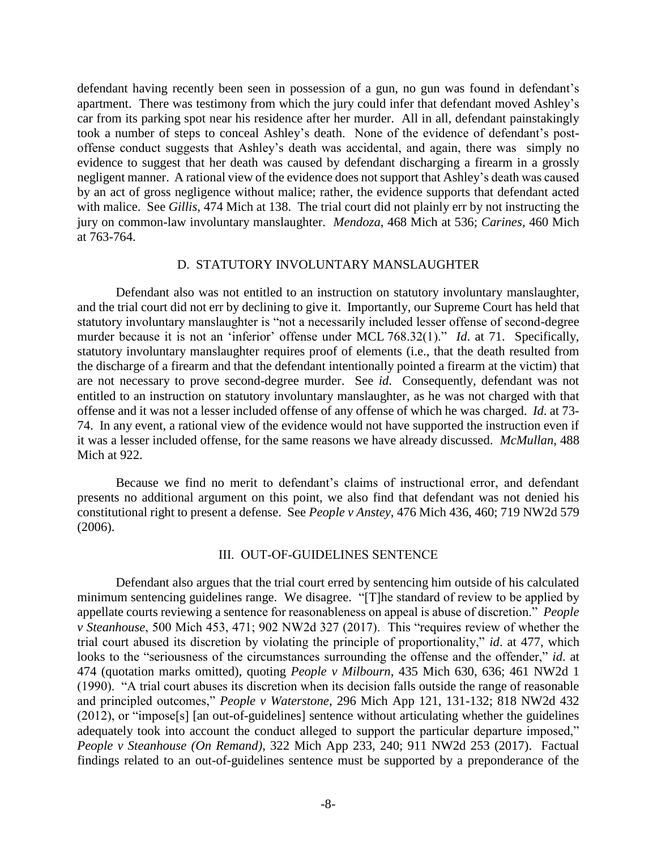defendant having recently been seen in possession of a gun, no gun was found in defendant's apartment. There was testimony from which the jury could infer that defendant moved Ashley's car from its parking spot near his residence after her murder. All in all, defendant painstakingly took a number of steps to conceal Ashley's death. None of the evidence of defendant's postoffense conduct suggests that Ashley's death was accidental, and again, there was simply no evidence to suggest that her death was caused by defendant discharging a firearm in a grossly negligent manner. A rational view of the evidence does not support that Ashley's death was caused by an act of gross negligence without malice; rather, the evidence supports that defendant acted with malice. See *Gillis*, 474 Mich at 138. The trial court did not plainly err by not instructing the jury on common-law involuntary manslaughter. *Mendoza*, 468 Mich at 536; *Carines*, 460 Mich at 763-764.

#### D. STATUTORY INVOLUNTARY MANSLAUGHTER

Defendant also was not entitled to an instruction on statutory involuntary manslaughter, and the trial court did not err by declining to give it. Importantly, our Supreme Court has held that statutory involuntary manslaughter is "not a necessarily included lesser offense of second-degree murder because it is not an 'inferior' offense under MCL 768.32(1)." *Id*. at 71. Specifically, statutory involuntary manslaughter requires proof of elements (i.e., that the death resulted from the discharge of a firearm and that the defendant intentionally pointed a firearm at the victim) that are not necessary to prove second-degree murder. See *id*. Consequently, defendant was not entitled to an instruction on statutory involuntary manslaughter, as he was not charged with that offense and it was not a lesser included offense of any offense of which he was charged. *Id*. at 73- 74. In any event, a rational view of the evidence would not have supported the instruction even if it was a lesser included offense, for the same reasons we have already discussed. *McMullan*, 488 Mich at 922.

Because we find no merit to defendant's claims of instructional error, and defendant presents no additional argument on this point, we also find that defendant was not denied his constitutional right to present a defense. See *People v Anstey*, 476 Mich 436, 460; 719 NW2d 579 (2006).

### III. OUT-OF-GUIDELINES SENTENCE

Defendant also argues that the trial court erred by sentencing him outside of his calculated minimum sentencing guidelines range. We disagree. "[T]he standard of review to be applied by appellate courts reviewing a sentence for reasonableness on appeal is abuse of discretion." *People v Steanhouse*, 500 Mich 453, 471; 902 NW2d 327 (2017). This "requires review of whether the trial court abused its discretion by violating the principle of proportionality," *id*. at 477, which looks to the "seriousness of the circumstances surrounding the offense and the offender," *id*. at 474 (quotation marks omitted), quoting *People v Milbourn*, 435 Mich 630, 636; 461 NW2d 1 (1990). "A trial court abuses its discretion when its decision falls outside the range of reasonable and principled outcomes," *People v Waterstone*, 296 Mich App 121, 131-132; 818 NW2d 432 (2012), or "impose[s] [an out-of-guidelines] sentence without articulating whether the guidelines adequately took into account the conduct alleged to support the particular departure imposed," *People v Steanhouse (On Remand)*, 322 Mich App 233, 240; 911 NW2d 253 (2017). Factual findings related to an out-of-guidelines sentence must be supported by a preponderance of the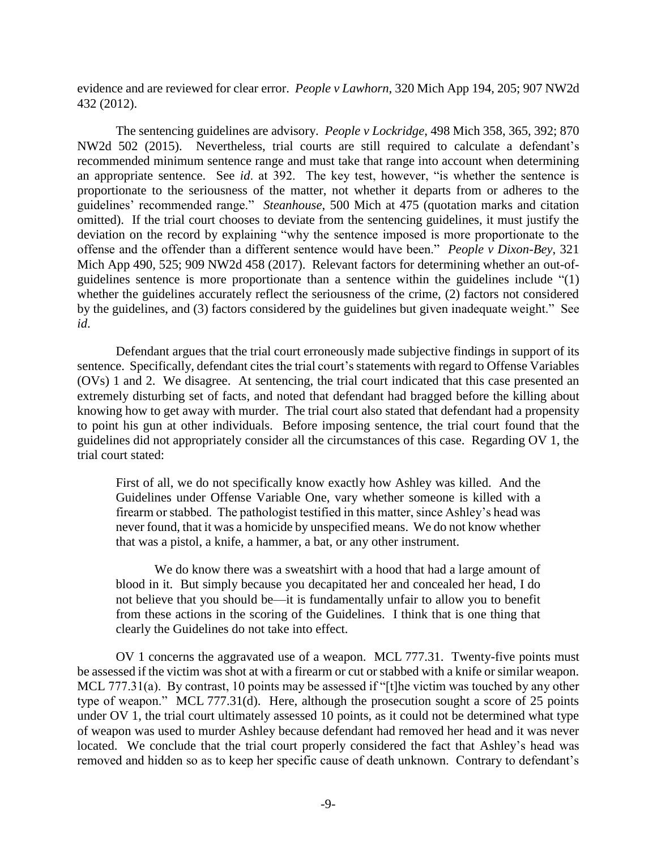evidence and are reviewed for clear error. *People v Lawhorn*, 320 Mich App 194, 205; 907 NW2d 432 (2012).

The sentencing guidelines are advisory. *People v Lockridge*, 498 Mich 358, 365, 392; 870 NW2d 502 (2015). Nevertheless, trial courts are still required to calculate a defendant's recommended minimum sentence range and must take that range into account when determining an appropriate sentence. See *id*. at 392. The key test, however, "is whether the sentence is proportionate to the seriousness of the matter, not whether it departs from or adheres to the guidelines' recommended range." *Steanhouse*, 500 Mich at 475 (quotation marks and citation omitted). If the trial court chooses to deviate from the sentencing guidelines, it must justify the deviation on the record by explaining "why the sentence imposed is more proportionate to the offense and the offender than a different sentence would have been." *People v Dixon-Bey*, 321 Mich App 490, 525; 909 NW2d 458 (2017). Relevant factors for determining whether an out-ofguidelines sentence is more proportionate than a sentence within the guidelines include "(1) whether the guidelines accurately reflect the seriousness of the crime, (2) factors not considered by the guidelines, and (3) factors considered by the guidelines but given inadequate weight." See *id*.

Defendant argues that the trial court erroneously made subjective findings in support of its sentence. Specifically, defendant cites the trial court's statements with regard to Offense Variables (OVs) 1 and 2. We disagree. At sentencing, the trial court indicated that this case presented an extremely disturbing set of facts, and noted that defendant had bragged before the killing about knowing how to get away with murder. The trial court also stated that defendant had a propensity to point his gun at other individuals. Before imposing sentence, the trial court found that the guidelines did not appropriately consider all the circumstances of this case. Regarding OV 1, the trial court stated:

First of all, we do not specifically know exactly how Ashley was killed. And the Guidelines under Offense Variable One, vary whether someone is killed with a firearm or stabbed. The pathologist testified in this matter, since Ashley's head was never found, that it was a homicide by unspecified means. We do not know whether that was a pistol, a knife, a hammer, a bat, or any other instrument.

We do know there was a sweatshirt with a hood that had a large amount of blood in it. But simply because you decapitated her and concealed her head, I do not believe that you should be—it is fundamentally unfair to allow you to benefit from these actions in the scoring of the Guidelines. I think that is one thing that clearly the Guidelines do not take into effect.

OV 1 concerns the aggravated use of a weapon. MCL 777.31. Twenty-five points must be assessed if the victim was shot at with a firearm or cut or stabbed with a knife or similar weapon. MCL 777.31(a). By contrast, 10 points may be assessed if "[t]he victim was touched by any other type of weapon." MCL 777.31(d). Here, although the prosecution sought a score of 25 points under OV 1, the trial court ultimately assessed 10 points, as it could not be determined what type of weapon was used to murder Ashley because defendant had removed her head and it was never located. We conclude that the trial court properly considered the fact that Ashley's head was removed and hidden so as to keep her specific cause of death unknown. Contrary to defendant's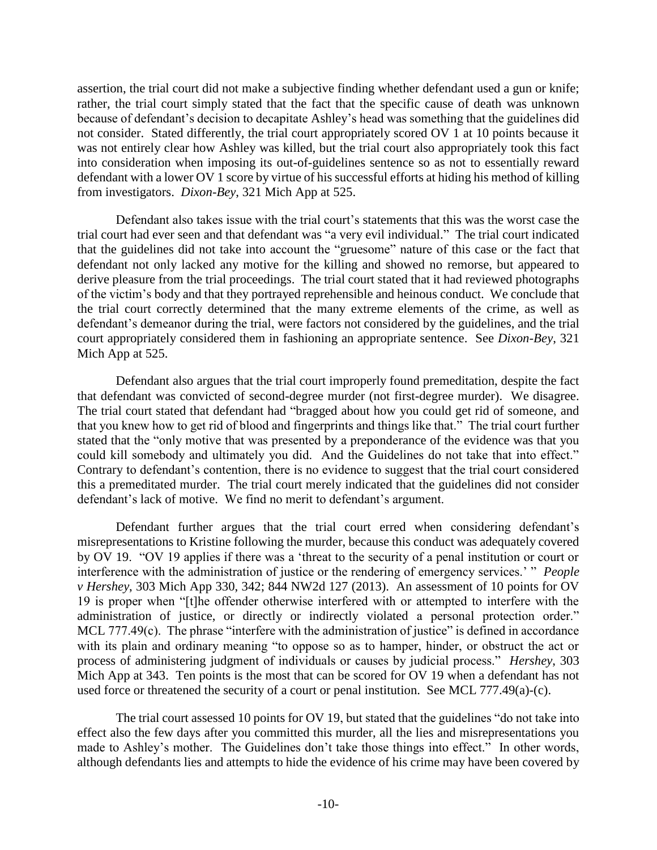assertion, the trial court did not make a subjective finding whether defendant used a gun or knife; rather, the trial court simply stated that the fact that the specific cause of death was unknown because of defendant's decision to decapitate Ashley's head was something that the guidelines did not consider. Stated differently, the trial court appropriately scored OV 1 at 10 points because it was not entirely clear how Ashley was killed, but the trial court also appropriately took this fact into consideration when imposing its out-of-guidelines sentence so as not to essentially reward defendant with a lower OV 1 score by virtue of his successful efforts at hiding his method of killing from investigators. *Dixon-Bey*, 321 Mich App at 525.

Defendant also takes issue with the trial court's statements that this was the worst case the trial court had ever seen and that defendant was "a very evil individual." The trial court indicated that the guidelines did not take into account the "gruesome" nature of this case or the fact that defendant not only lacked any motive for the killing and showed no remorse, but appeared to derive pleasure from the trial proceedings. The trial court stated that it had reviewed photographs of the victim's body and that they portrayed reprehensible and heinous conduct. We conclude that the trial court correctly determined that the many extreme elements of the crime, as well as defendant's demeanor during the trial, were factors not considered by the guidelines, and the trial court appropriately considered them in fashioning an appropriate sentence. See *Dixon-Bey*, 321 Mich App at 525.

Defendant also argues that the trial court improperly found premeditation, despite the fact that defendant was convicted of second-degree murder (not first-degree murder). We disagree. The trial court stated that defendant had "bragged about how you could get rid of someone, and that you knew how to get rid of blood and fingerprints and things like that." The trial court further stated that the "only motive that was presented by a preponderance of the evidence was that you could kill somebody and ultimately you did. And the Guidelines do not take that into effect." Contrary to defendant's contention, there is no evidence to suggest that the trial court considered this a premeditated murder. The trial court merely indicated that the guidelines did not consider defendant's lack of motive. We find no merit to defendant's argument.

Defendant further argues that the trial court erred when considering defendant's misrepresentations to Kristine following the murder, because this conduct was adequately covered by OV 19. "OV 19 applies if there was a 'threat to the security of a penal institution or court or interference with the administration of justice or the rendering of emergency services.' " *People v Hershey*, 303 Mich App 330, 342; 844 NW2d 127 (2013). An assessment of 10 points for OV 19 is proper when "[t]he offender otherwise interfered with or attempted to interfere with the administration of justice, or directly or indirectly violated a personal protection order." MCL 777.49(c). The phrase "interfere with the administration of justice" is defined in accordance with its plain and ordinary meaning "to oppose so as to hamper, hinder, or obstruct the act or process of administering judgment of individuals or causes by judicial process." *Hershey*, 303 Mich App at 343. Ten points is the most that can be scored for OV 19 when a defendant has not used force or threatened the security of a court or penal institution. See MCL 777.49(a)-(c).

The trial court assessed 10 points for OV 19, but stated that the guidelines "do not take into effect also the few days after you committed this murder, all the lies and misrepresentations you made to Ashley's mother. The Guidelines don't take those things into effect." In other words, although defendants lies and attempts to hide the evidence of his crime may have been covered by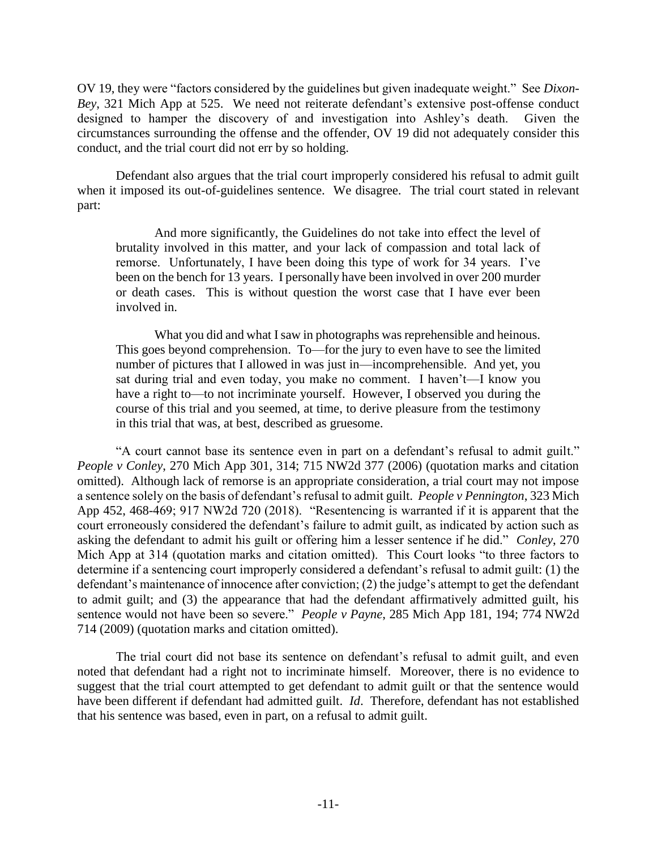OV 19, they were "factors considered by the guidelines but given inadequate weight." See *Dixon-Bey*, 321 Mich App at 525. We need not reiterate defendant's extensive post-offense conduct designed to hamper the discovery of and investigation into Ashley's death. Given the circumstances surrounding the offense and the offender, OV 19 did not adequately consider this conduct, and the trial court did not err by so holding.

Defendant also argues that the trial court improperly considered his refusal to admit guilt when it imposed its out-of-guidelines sentence. We disagree. The trial court stated in relevant part:

And more significantly, the Guidelines do not take into effect the level of brutality involved in this matter, and your lack of compassion and total lack of remorse. Unfortunately, I have been doing this type of work for 34 years. I've been on the bench for 13 years. I personally have been involved in over 200 murder or death cases. This is without question the worst case that I have ever been involved in.

What you did and what I saw in photographs was reprehensible and heinous. This goes beyond comprehension. To—for the jury to even have to see the limited number of pictures that I allowed in was just in—incomprehensible. And yet, you sat during trial and even today, you make no comment. I haven't—I know you have a right to—to not incriminate yourself. However, I observed you during the course of this trial and you seemed, at time, to derive pleasure from the testimony in this trial that was, at best, described as gruesome.

"A court cannot base its sentence even in part on a defendant's refusal to admit guilt." *People v Conley*, 270 Mich App 301, 314; 715 NW2d 377 (2006) (quotation marks and citation omitted). Although lack of remorse is an appropriate consideration, a trial court may not impose a sentence solely on the basis of defendant's refusal to admit guilt. *People v Pennington*, 323 Mich App 452, 468-469; 917 NW2d 720 (2018). "Resentencing is warranted if it is apparent that the court erroneously considered the defendant's failure to admit guilt, as indicated by action such as asking the defendant to admit his guilt or offering him a lesser sentence if he did." *Conley*, 270 Mich App at 314 (quotation marks and citation omitted). This Court looks "to three factors to determine if a sentencing court improperly considered a defendant's refusal to admit guilt: (1) the defendant's maintenance of innocence after conviction; (2) the judge's attempt to get the defendant to admit guilt; and (3) the appearance that had the defendant affirmatively admitted guilt, his sentence would not have been so severe." *People v Payne*, 285 Mich App 181, 194; 774 NW2d 714 (2009) (quotation marks and citation omitted).

The trial court did not base its sentence on defendant's refusal to admit guilt, and even noted that defendant had a right not to incriminate himself. Moreover, there is no evidence to suggest that the trial court attempted to get defendant to admit guilt or that the sentence would have been different if defendant had admitted guilt. *Id*.Therefore, defendant has not established that his sentence was based, even in part, on a refusal to admit guilt.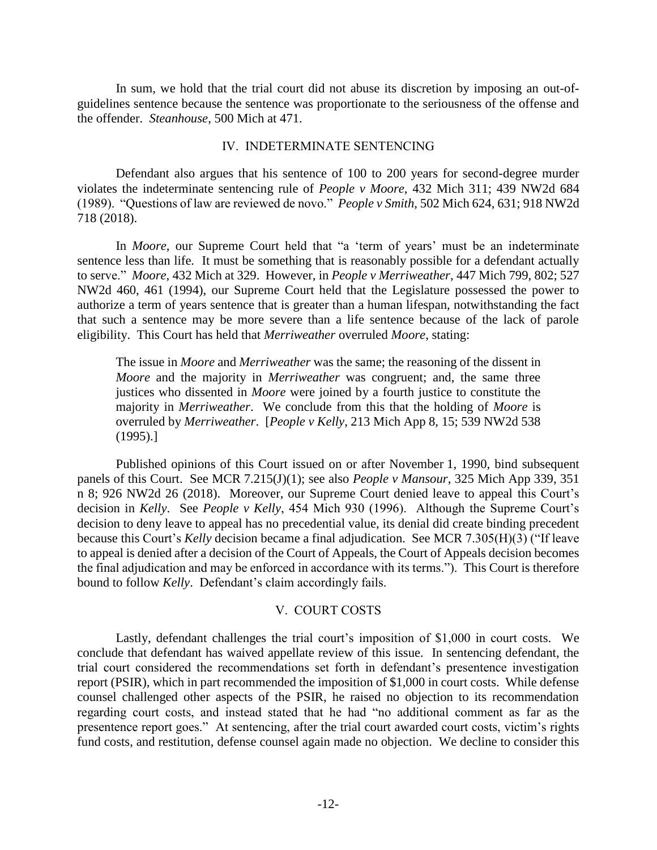In sum, we hold that the trial court did not abuse its discretion by imposing an out-ofguidelines sentence because the sentence was proportionate to the seriousness of the offense and the offender. *Steanhouse*, 500 Mich at 471.

#### IV. INDETERMINATE SENTENCING

Defendant also argues that his sentence of 100 to 200 years for second-degree murder violates the indeterminate sentencing rule of *People v Moore*, 432 Mich 311; 439 NW2d 684 (1989). "Questions of law are reviewed de novo." *People v Smith*, 502 Mich 624, 631; 918 NW2d 718 (2018).

In *Moore*, our Supreme Court held that "a 'term of years' must be an indeterminate sentence less than life. It must be something that is reasonably possible for a defendant actually to serve." *Moore*, 432 Mich at 329. However, in *People v Merriweather*, 447 Mich 799, 802; 527 NW2d 460, 461 (1994), our Supreme Court held that the Legislature possessed the power to authorize a term of years sentence that is greater than a human lifespan, notwithstanding the fact that such a sentence may be more severe than a life sentence because of the lack of parole eligibility. This Court has held that *Merriweather* overruled *Moore*, stating:

The issue in *Moore* and *Merriweather* was the same; the reasoning of the dissent in *Moore* and the majority in *Merriweather* was congruent; and, the same three justices who dissented in *Moore* were joined by a fourth justice to constitute the majority in *Merriweather*. We conclude from this that the holding of *Moore* is overruled by *Merriweather*. [*People v Kelly*, 213 Mich App 8, 15; 539 NW2d 538 (1995).]

Published opinions of this Court issued on or after November 1, 1990, bind subsequent panels of this Court. See MCR 7.215(J)(1); see also *People v Mansour*, 325 Mich App 339, 351 n 8; 926 NW2d 26 (2018). Moreover, our Supreme Court denied leave to appeal this Court's decision in *Kelly*. See *People v Kelly*, 454 Mich 930 (1996). Although the Supreme Court's decision to deny leave to appeal has no precedential value, its denial did create binding precedent because this Court's *Kelly* decision became a final adjudication. See MCR 7.305(H)(3) ("If leave to appeal is denied after a decision of the Court of Appeals, the Court of Appeals decision becomes the final adjudication and may be enforced in accordance with its terms."). This Court is therefore bound to follow *Kelly*. Defendant's claim accordingly fails.

## V. COURT COSTS

Lastly, defendant challenges the trial court's imposition of \$1,000 in court costs. We conclude that defendant has waived appellate review of this issue. In sentencing defendant, the trial court considered the recommendations set forth in defendant's presentence investigation report (PSIR), which in part recommended the imposition of \$1,000 in court costs. While defense counsel challenged other aspects of the PSIR, he raised no objection to its recommendation regarding court costs, and instead stated that he had "no additional comment as far as the presentence report goes." At sentencing, after the trial court awarded court costs, victim's rights fund costs, and restitution, defense counsel again made no objection. We decline to consider this